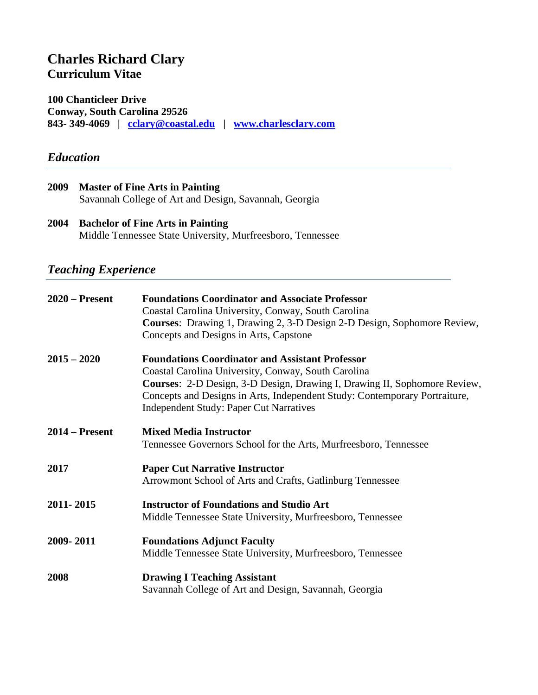## **Charles Richard Clary Curriculum Vitae**

**100 Chanticleer Drive Conway, South Carolina 29526 843- 349-4069 | [cclary@coastal.edu](mailto:cclary@coastal.edu) | [www.charlesclary.com](http://www.charlesclary.com/)**

## *Education*

| 2009 Master of Fine Arts in Painting                  |
|-------------------------------------------------------|
| Savannah College of Art and Design, Savannah, Georgia |

**2004 Bachelor of Fine Arts in Painting** Middle Tennessee State University, Murfreesboro, Tennessee

## *Teaching Experience*

| $2020$ – Present | <b>Foundations Coordinator and Associate Professor</b><br>Coastal Carolina University, Conway, South Carolina<br><b>Courses:</b> Drawing 1, Drawing 2, 3-D Design 2-D Design, Sophomore Review,<br>Concepts and Designs in Arts, Capstone                                                                                  |
|------------------|----------------------------------------------------------------------------------------------------------------------------------------------------------------------------------------------------------------------------------------------------------------------------------------------------------------------------|
| $2015 - 2020$    | <b>Foundations Coordinator and Assistant Professor</b><br>Coastal Carolina University, Conway, South Carolina<br>Courses: 2-D Design, 3-D Design, Drawing I, Drawing II, Sophomore Review,<br>Concepts and Designs in Arts, Independent Study: Contemporary Portraiture,<br><b>Independent Study: Paper Cut Narratives</b> |
| $2014 -$ Present | <b>Mixed Media Instructor</b><br>Tennessee Governors School for the Arts, Murfreesboro, Tennessee                                                                                                                                                                                                                          |
| 2017             | <b>Paper Cut Narrative Instructor</b><br>Arrowmont School of Arts and Crafts, Gatlinburg Tennessee                                                                                                                                                                                                                         |
| 2011-2015        | <b>Instructor of Foundations and Studio Art</b><br>Middle Tennessee State University, Murfreesboro, Tennessee                                                                                                                                                                                                              |
| 2009-2011        | <b>Foundations Adjunct Faculty</b><br>Middle Tennessee State University, Murfreesboro, Tennessee                                                                                                                                                                                                                           |
| 2008             | <b>Drawing I Teaching Assistant</b><br>Savannah College of Art and Design, Savannah, Georgia                                                                                                                                                                                                                               |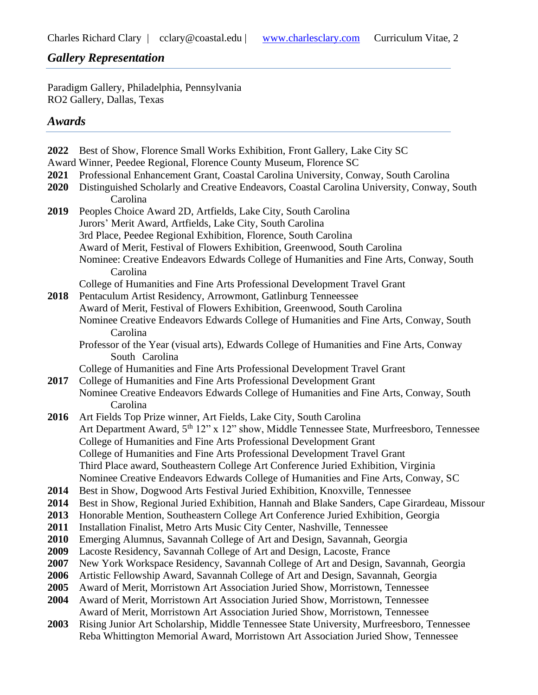## *Gallery Representation*

Paradigm Gallery, Philadelphia, Pennsylvania RO2 Gallery, Dallas, Texas

## *Awards*

| 2022 | Best of Show, Florence Small Works Exhibition, Front Gallery, Lake City SC                            |  |
|------|-------------------------------------------------------------------------------------------------------|--|
|      | Award Winner, Peedee Regional, Florence County Museum, Florence SC                                    |  |
| 2021 | Professional Enhancement Grant, Coastal Carolina University, Conway, South Carolina                   |  |
| 2020 | Distinguished Scholarly and Creative Endeavors, Coastal Carolina University, Conway, South            |  |
|      | Carolina                                                                                              |  |
| 2019 | Peoples Choice Award 2D, Artfields, Lake City, South Carolina                                         |  |
|      | Jurors' Merit Award, Artfields, Lake City, South Carolina                                             |  |
|      | 3rd Place, Peedee Regional Exhibition, Florence, South Carolina                                       |  |
|      | Award of Merit, Festival of Flowers Exhibition, Greenwood, South Carolina                             |  |
|      | Nominee: Creative Endeavors Edwards College of Humanities and Fine Arts, Conway, South                |  |
|      | Carolina                                                                                              |  |
|      | College of Humanities and Fine Arts Professional Development Travel Grant                             |  |
| 2018 | Pentaculum Artist Residency, Arrowmont, Gatlinburg Tenneessee                                         |  |
|      | Award of Merit, Festival of Flowers Exhibition, Greenwood, South Carolina                             |  |
|      | Nominee Creative Endeavors Edwards College of Humanities and Fine Arts, Conway, South                 |  |
|      | Carolina                                                                                              |  |
|      | Professor of the Year (visual arts), Edwards College of Humanities and Fine Arts, Conway              |  |
|      | South Carolina                                                                                        |  |
|      | College of Humanities and Fine Arts Professional Development Travel Grant                             |  |
| 2017 | College of Humanities and Fine Arts Professional Development Grant                                    |  |
|      | Nominee Creative Endeavors Edwards College of Humanities and Fine Arts, Conway, South<br>Carolina     |  |
| 2016 | Art Fields Top Prize winner, Art Fields, Lake City, South Carolina                                    |  |
|      | Art Department Award, 5 <sup>th</sup> 12" x 12" show, Middle Tennessee State, Murfreesboro, Tennessee |  |
|      | College of Humanities and Fine Arts Professional Development Grant                                    |  |
|      | College of Humanities and Fine Arts Professional Development Travel Grant                             |  |
|      | Third Place award, Southeastern College Art Conference Juried Exhibition, Virginia                    |  |
|      | Nominee Creative Endeavors Edwards College of Humanities and Fine Arts, Conway, SC                    |  |
| 2014 | Best in Show, Dogwood Arts Festival Juried Exhibition, Knoxville, Tennessee                           |  |
| 2014 | Best in Show, Regional Juried Exhibition, Hannah and Blake Sanders, Cape Girardeau, Missour           |  |
| 2013 | Honorable Mention, Southeastern College Art Conference Juried Exhibition, Georgia                     |  |
| 2011 | Installation Finalist, Metro Arts Music City Center, Nashville, Tennessee                             |  |
| 2010 | Emerging Alumnus, Savannah College of Art and Design, Savannah, Georgia                               |  |
| 2009 | Lacoste Residency, Savannah College of Art and Design, Lacoste, France                                |  |
| 2007 | New York Workspace Residency, Savannah College of Art and Design, Savannah, Georgia                   |  |
| 2006 | Artistic Fellowship Award, Savannah College of Art and Design, Savannah, Georgia                      |  |
| 2005 | Award of Merit, Morristown Art Association Juried Show, Morristown, Tennessee                         |  |
| 2004 | Award of Merit, Morristown Art Association Juried Show, Morristown, Tennessee                         |  |
|      | Award of Merit, Morristown Art Association Juried Show, Morristown, Tennessee                         |  |
| 2003 | Rising Junior Art Scholarship, Middle Tennessee State University, Murfreesboro, Tennessee             |  |
|      | Reba Whittington Memorial Award, Morristown Art Association Juried Show, Tennessee                    |  |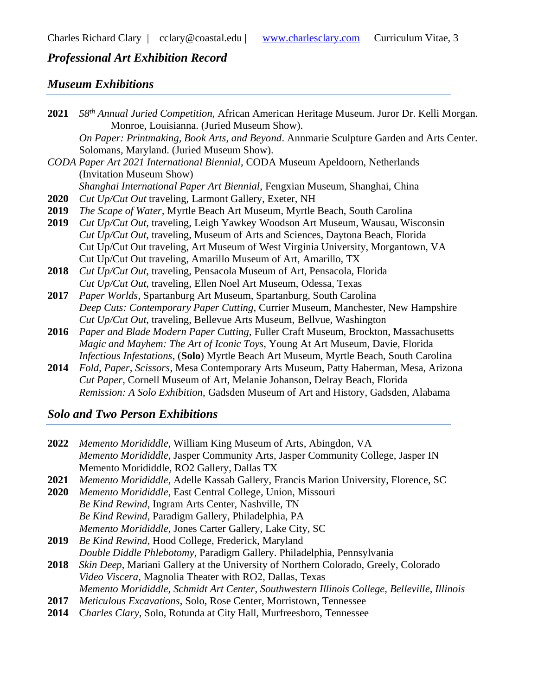## *Professional Art Exhibition Record*

## *Museum Exhibitions*

|             | 2021 58 <sup>th</sup> Annual Juried Competition, African American Heritage Museum. Juror Dr. Kelli Morgan. |
|-------------|------------------------------------------------------------------------------------------------------------|
|             | Monroe, Louisianna. (Juried Museum Show).                                                                  |
|             | On Paper: Printmaking, Book Arts, and Beyond. Annmarie Sculpture Garden and Arts Center.                   |
|             | Solomans, Maryland. (Juried Museum Show).                                                                  |
|             | CODA Paper Art 2021 International Biennial, CODA Museum Apeldoorn, Netherlands                             |
|             | (Invitation Museum Show)                                                                                   |
|             | Shanghai International Paper Art Biennial, Fengxian Museum, Shanghai, China                                |
| <b>2020</b> | Cut Up/Cut Out traveling, Larmont Gallery, Exeter, NH                                                      |
| 2019        | The Scape of Water, Myrtle Beach Art Museum, Myrtle Beach, South Carolina                                  |
| 2019        | Cut Up/Cut Out, traveling, Leigh Yawkey Woodson Art Museum, Wausau, Wisconsin                              |
|             | Cut Up/Cut Out, traveling, Museum of Arts and Sciences, Daytona Beach, Florida                             |
|             | Cut Up/Cut Out traveling, Art Museum of West Virginia University, Morgantown, VA                           |
|             | Cut Up/Cut Out traveling, Amarillo Museum of Art, Amarillo, TX                                             |
| <b>2018</b> | Cut Up/Cut Out, traveling, Pensacola Museum of Art, Pensacola, Florida                                     |
|             | <i>Cut Up/Cut Out, traveling, Ellen Noel Art Museum, Odessa, Texas</i>                                     |
| 2017        | Paper Worlds, Spartanburg Art Museum, Spartanburg, South Carolina                                          |
|             | Deep Cuts: Contemporary Paper Cutting, Currier Museum, Manchester, New Hampshire                           |
|             | <i>Cut Up/Cut Out</i> , traveling, Bellevue Arts Museum, Bellvue, Washington                               |
| 2016        | Paper and Blade Modern Paper Cutting, Fuller Craft Museum, Brockton, Massachusetts                         |
|             | <i>Magic and Mayhem: The Art of Iconic Toys, Young At Art Museum, Davie, Florida</i>                       |
|             | Infectious Infestations, (Solo) Myrtle Beach Art Museum, Myrtle Beach, South Carolina                      |
| 2014        | Fold, Paper, Scissors, Mesa Contemporary Arts Museum, Patty Haberman, Mesa, Arizona                        |
|             | Cut Paper, Cornell Museum of Art, Melanie Johanson, Delray Beach, Florida                                  |

*Remission: A Solo Exhibition*, Gadsden Museum of Art and History, Gadsden, Alabama

# *Solo and Two Person Exhibitions*

| 2022 | <i>Memento Morididdle</i> , William King Museum of Arts, Abingdon, VA                       |
|------|---------------------------------------------------------------------------------------------|
|      | <i>Memento Morididdle</i> , Jasper Community Arts, Jasper Community College, Jasper IN      |
|      | Memento Morididdle, RO2 Gallery, Dallas TX                                                  |
| 2021 | <i>Memento Morididdle, Adelle Kassab Gallery, Francis Marion University, Florence, SC</i>   |
| 2020 | Memento Morididdle, East Central College, Union, Missouri                                   |
|      | Be Kind Rewind, Ingram Arts Center, Nashville, TN                                           |
|      | Be Kind Rewind, Paradigm Gallery, Philadelphia, PA                                          |
|      | Memento Morididdle, Jones Carter Gallery, Lake City, SC                                     |
| 2019 | Be Kind Rewind, Hood College, Frederick, Maryland                                           |
|      | Double Diddle Phlebotomy, Paradigm Gallery. Philadelphia, Pennsylvania                      |
| 2018 | <i>Skin Deep</i> , Mariani Gallery at the University of Northern Colorado, Greely, Colorado |
|      | Video Viscera, Magnolia Theater with RO2, Dallas, Texas                                     |
|      | Memento Morididdle, Schmidt Art Center, Southwestern Illinois College, Belleville, Illinois |
| 2017 | Meticulous Excavations, Solo, Rose Center, Morristown, Tennessee                            |
| 2014 | Charles Clary, Solo, Rotunda at City Hall, Murfreesboro, Tennessee                          |
|      |                                                                                             |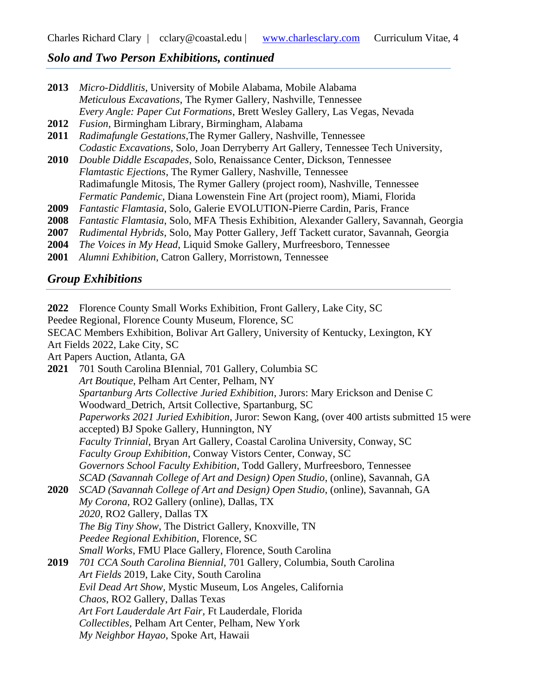### *Solo and Two Person Exhibitions, continued*

| 2013 Micro-Diddlitis, University of Mobile Alabama, Mobile Alabama         |
|----------------------------------------------------------------------------|
| <i>Meticulous Excavations</i> , The Rymer Gallery, Nashville, Tennessee    |
| Every Angle: Paper Cut Formations, Brett Wesley Gallery, Las Vegas, Nevada |

- **2012** *Fusion*, Birmingham Library, Birmingham, Alabama
- **2011** *Radimafungle Gestations,*The Rymer Gallery, Nashville, Tennessee *Codastic Excavations,* Solo, Joan Derryberry Art Gallery, Tennessee Tech University,
- **2010** *Double Diddle Escapades*, Solo, Renaissance Center, Dickson, Tennessee *Flamtastic Ejections*, The Rymer Gallery, Nashville, Tennessee Radimafungle Mitosis, The Rymer Gallery (project room), Nashville, Tennessee *Fermatic Pandemic*, Diana Lowenstein Fine Art (project room), Miami, Florida
- **2009** *Fantastic Flamtasia*, Solo, Galerie EVOLUTION-Pierre Cardin, Paris, France
- **2008** *Fantastic Flamtasia*, Solo, MFA Thesis Exhibition, Alexander Gallery, Savannah, Georgia
- **2007** *Rudimental Hybrids,* Solo, May Potter Gallery, Jeff Tackett curator, Savannah, Georgia
- **2004** *The Voices in My Head*, Liquid Smoke Gallery, Murfreesboro, Tennessee
- **2001** *Alumni Exhibition*, Catron Gallery, Morristown, Tennessee

### *Group Exhibitions*

**2022** Florence County Small Works Exhibition, Front Gallery, Lake City, SC

Peedee Regional, Florence County Museum, Florence, SC

SECAC Members Exhibition, Bolivar Art Gallery, University of Kentucky, Lexington, KY Art Fields 2022, Lake City, SC

Art Papers Auction, Atlanta, GA

**2021** 701 South Carolina BIennial, 701 Gallery, Columbia SC *Art Boutique*, Pelham Art Center, Pelham, NY *Spartanburg Arts Collective Juried Exhibition*, Jurors: Mary Erickson and Denise C Woodward\_Detrich, Artsit Collective, Spartanburg, SC *Paperworks 2021 Juried Exhibition*, Juror: Sewon Kang, (over 400 artists submitted 15 were accepted) BJ Spoke Gallery, Hunnington, NY *Faculty Trinnial*, Bryan Art Gallery, Coastal Carolina University, Conway, SC *Faculty Group Exhibition*, Conway Vistors Center, Conway, SC *Governors School Faculty Exhibition*, Todd Gallery, Murfreesboro, Tennessee *SCAD (Savannah College of Art and Design) Open Studio*, (online), Savannah, GA **2020** *SCAD (Savannah College of Art and Design) Open Studio*, (online), Savannah, GA *My Corona*, RO2 Gallery (online), Dallas, TX *2020*, RO2 Gallery, Dallas TX *The Big Tiny Show*, The District Gallery, Knoxville, TN *Peedee Regional Exhibition*, Florence, SC *Small Works*, FMU Place Gallery, Florence, South Carolina **2019** *701 CCA South Carolina Biennial,* 701 Gallery, Columbia, South Carolina *Art Fields* 2019, Lake City, South Carolina *Evil Dead Art Show,* Mystic Museum, Los Angeles, California *Chaos*, RO2 Gallery, Dallas Texas *Art Fort Lauderdale Art Fair,* Ft Lauderdale, Florida *Collectibles,* Pelham Art Center, Pelham, New York *My Neighbor Hayao*, Spoke Art, Hawaii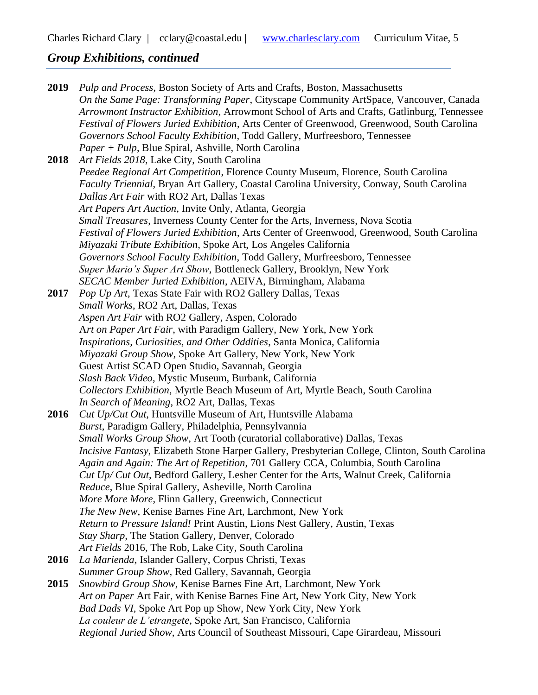## *Group Exhibitions, continued*

| 2019        | Pulp and Process, Boston Society of Arts and Crafts, Boston, Massachusetts                      |
|-------------|-------------------------------------------------------------------------------------------------|
|             | On the Same Page: Transforming Paper, Cityscape Community ArtSpace, Vancouver, Canada           |
|             | Arrowmont Instructor Exhibition, Arrowmont School of Arts and Crafts, Gatlinburg, Tennessee     |
|             | Festival of Flowers Juried Exhibition, Arts Center of Greenwood, Greenwood, South Carolina      |
|             | Governors School Faculty Exhibition, Todd Gallery, Murfreesboro, Tennessee                      |
|             | Paper + Pulp, Blue Spiral, Ashville, North Carolina                                             |
| 2018        | Art Fields 2018, Lake City, South Carolina                                                      |
|             | Peedee Regional Art Competition, Florence County Museum, Florence, South Carolina               |
|             | Faculty Triennial, Bryan Art Gallery, Coastal Carolina University, Conway, South Carolina       |
|             | Dallas Art Fair with RO2 Art, Dallas Texas                                                      |
|             |                                                                                                 |
|             | Art Papers Art Auction, Invite Only, Atlanta, Georgia                                           |
|             | Small Treasures, Inverness County Center for the Arts, Inverness, Nova Scotia                   |
|             | Festival of Flowers Juried Exhibition, Arts Center of Greenwood, Greenwood, South Carolina      |
|             | Miyazaki Tribute Exhibition, Spoke Art, Los Angeles California                                  |
|             | Governors School Faculty Exhibition, Todd Gallery, Murfreesboro, Tennessee                      |
|             | Super Mario's Super Art Show, Bottleneck Gallery, Brooklyn, New York                            |
|             | SECAC Member Juried Exhibition, AEIVA, Birmingham, Alabama                                      |
| 2017        | Pop Up Art, Texas State Fair with RO2 Gallery Dallas, Texas                                     |
|             | Small Works, RO2 Art, Dallas, Texas                                                             |
|             | Aspen Art Fair with RO2 Gallery, Aspen, Colorado                                                |
|             | Art on Paper Art Fair, with Paradigm Gallery, New York, New York                                |
|             | Inspirations, Curiosities, and Other Oddities, Santa Monica, California                         |
|             | Miyazaki Group Show, Spoke Art Gallery, New York, New York                                      |
|             | Guest Artist SCAD Open Studio, Savannah, Georgia                                                |
|             | Slash Back Video, Mystic Museum, Burbank, California                                            |
|             | Collectors Exhibition, Myrtle Beach Museum of Art, Myrtle Beach, South Carolina                 |
|             | In Search of Meaning, RO2 Art, Dallas, Texas                                                    |
| 2016        | Cut Up/Cut Out, Huntsville Museum of Art, Huntsville Alabama                                    |
|             | Burst, Paradigm Gallery, Philadelphia, Pennsylvannia                                            |
|             | Small Works Group Show, Art Tooth (curatorial collaborative) Dallas, Texas                      |
|             | Incisive Fantasy, Elizabeth Stone Harper Gallery, Presbyterian College, Clinton, South Carolina |
|             | Again and Again: The Art of Repetition, 701 Gallery CCA, Columbia, South Carolina               |
|             | Cut Up/ Cut Out, Bedford Gallery, Lesher Center for the Arts, Walnut Creek, California          |
|             | Reduce, Blue Spiral Gallery, Asheville, North Carolina                                          |
|             | More More More, Flinn Gallery, Greenwich, Connecticut                                           |
|             | The New New, Kenise Barnes Fine Art, Larchmont, New York                                        |
|             | Return to Pressure Island! Print Austin, Lions Nest Gallery, Austin, Texas                      |
|             | Stay Sharp, The Station Gallery, Denver, Colorado                                               |
|             | Art Fields 2016, The Rob, Lake City, South Carolina                                             |
| <b>2016</b> | La Marienda, Islander Gallery, Corpus Christi, Texas                                            |
|             | Summer Group Show, Red Gallery, Savannah, Georgia                                               |
| 2015        | Snowbird Group Show, Kenise Barnes Fine Art, Larchmont, New York                                |
|             | Art on Paper Art Fair, with Kenise Barnes Fine Art, New York City, New York                     |
|             | Bad Dads VI, Spoke Art Pop up Show, New York City, New York                                     |
|             | La couleur de L'etrangete, Spoke Art, San Francisco, California                                 |
|             | Regional Juried Show, Arts Council of Southeast Missouri, Cape Girardeau, Missouri              |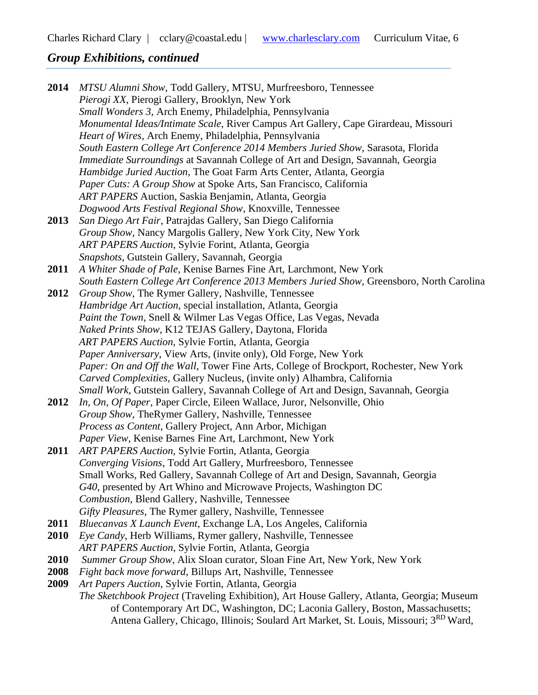## *Group Exhibitions, continued*

| 2014 | MTSU Alumni Show, Todd Gallery, MTSU, Murfreesboro, Tennessee                                     |
|------|---------------------------------------------------------------------------------------------------|
|      | Pierogi XX, Pierogi Gallery, Brooklyn, New York                                                   |
|      | Small Wonders 3, Arch Enemy, Philadelphia, Pennsylvania                                           |
|      | Monumental Ideas/Intimate Scale, River Campus Art Gallery, Cape Girardeau, Missouri               |
|      | Heart of Wires, Arch Enemy, Philadelphia, Pennsylvania                                            |
|      | South Eastern College Art Conference 2014 Members Juried Show, Sarasota, Florida                  |
|      | Immediate Surroundings at Savannah College of Art and Design, Savannah, Georgia                   |
|      | Hambidge Juried Auction, The Goat Farm Arts Center, Atlanta, Georgia                              |
|      | Paper Cuts: A Group Show at Spoke Arts, San Francisco, California                                 |
|      | <b>ART PAPERS Auction, Saskia Benjamin, Atlanta, Georgia</b>                                      |
|      | Dogwood Arts Festival Regional Show, Knoxville, Tennessee                                         |
| 2013 | San Diego Art Fair, Patrajdas Gallery, San Diego California                                       |
|      | Group Show, Nancy Margolis Gallery, New York City, New York                                       |
|      | <b>ART PAPERS Auction, Sylvie Forint, Atlanta, Georgia</b>                                        |
|      | Snapshots, Gutstein Gallery, Savannah, Georgia                                                    |
| 2011 | A Whiter Shade of Pale, Kenise Barnes Fine Art, Larchmont, New York                               |
|      | South Eastern College Art Conference 2013 Members Juried Show, Greensboro, North Carolina         |
| 2012 | Group Show, The Rymer Gallery, Nashville, Tennessee                                               |
|      | Hambridge Art Auction, special installation, Atlanta, Georgia                                     |
|      | Paint the Town, Snell & Wilmer Las Vegas Office, Las Vegas, Nevada                                |
|      | Naked Prints Show, K12 TEJAS Gallery, Daytona, Florida                                            |
|      | <b>ART PAPERS Auction, Sylvie Fortin, Atlanta, Georgia</b>                                        |
|      | Paper Anniversary, View Arts, (invite only), Old Forge, New York                                  |
|      | Paper: On and Off the Wall, Tower Fine Arts, College of Brockport, Rochester, New York            |
|      | Carved Complexities, Gallery Nucleus, (invite only) Alhambra, California                          |
|      | Small Work, Gutstein Gallery, Savannah College of Art and Design, Savannah, Georgia               |
| 2012 | In, On, Of Paper, Paper Circle, Eileen Wallace, Juror, Nelsonville, Ohio                          |
|      | Group Show, TheRymer Gallery, Nashville, Tennessee                                                |
|      | Process as Content, Gallery Project, Ann Arbor, Michigan                                          |
|      | Paper View, Kenise Barnes Fine Art, Larchmont, New York                                           |
| 2011 | ART PAPERS Auction, Sylvie Fortin, Atlanta, Georgia                                               |
|      | Converging Visions, Todd Art Gallery, Murfreesboro, Tennessee                                     |
|      | Small Works, Red Gallery, Savannah College of Art and Design, Savannah, Georgia                   |
|      | G40, presented by Art Whino and Microwave Projects, Washington DC                                 |
|      | Combustion, Blend Gallery, Nashville, Tennessee                                                   |
|      | Gifty Pleasures, The Rymer gallery, Nashville, Tennessee                                          |
| 2011 | Bluecanvas X Launch Event, Exchange LA, Los Angeles, California                                   |
| 2010 | Eye Candy, Herb Williams, Rymer gallery, Nashville, Tennessee                                     |
|      | <b>ART PAPERS Auction, Sylvie Fortin, Atlanta, Georgia</b>                                        |
| 2010 | Summer Group Show, Alix Sloan curator, Sloan Fine Art, New York, New York                         |
| 2008 | Fight back move forward, Billups Art, Nashville, Tennessee                                        |
| 2009 | Art Papers Auction, Sylvie Fortin, Atlanta, Georgia                                               |
|      | The Sketchbook Project (Traveling Exhibition), Art House Gallery, Atlanta, Georgia; Museum        |
|      | of Contemporary Art DC, Washington, DC; Laconia Gallery, Boston, Massachusetts;                   |
|      | Antena Gallery, Chicago, Illinois; Soulard Art Market, St. Louis, Missouri; 3 <sup>RD</sup> Ward, |
|      |                                                                                                   |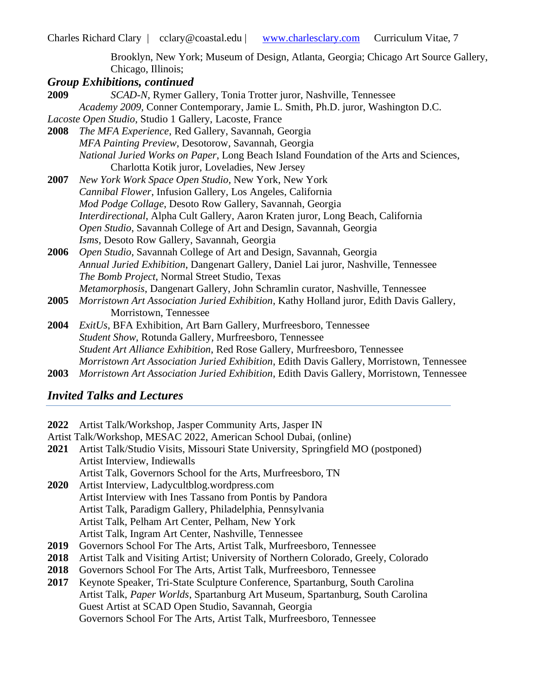Charles Richard Clary | cclary@coastal.edu | [www.charlesclary.com](http://www.claryclary.com/) Curriculum Vitae, 7

Brooklyn, New York; Museum of Design, Atlanta, Georgia; Chicago Art Source Gallery, Chicago, Illinois;

#### *Group Exhibitions, continued* **2009** *SCAD-N*, Rymer Gallery, Tonia Trotter juror, Nashville, Tennessee *Academy 2009,* Conner Contemporary, Jamie L. Smith, Ph.D. juror, Washington D.C. *Lacoste Open Studio*, Studio 1 Gallery, Lacoste, France **2008** *The MFA Experience*, Red Gallery, Savannah, Georgia *MFA Painting Preview*, Desotorow, Savannah, Georgia *National Juried Works on Paper*, Long Beach Island Foundation of the Arts and Sciences, Charlotta Kotik juror, Loveladies, New Jersey **2007** *New York Work Space Open Studio*, New York, New York *Cannibal Flower*, Infusion Gallery, Los Angeles, California *Mod Podge Collage*, Desoto Row Gallery, Savannah, Georgia *Interdirectional*, Alpha Cult Gallery, Aaron Kraten juror, Long Beach, California *Open Studio*, Savannah College of Art and Design, Savannah, Georgia *Isms*, Desoto Row Gallery, Savannah, Georgia **2006** *Open Studio*, Savannah College of Art and Design, Savannah, Georgia *Annual Juried Exhibition*, Dangenart Gallery, Daniel Lai juror, Nashville, Tennessee *The Bomb Project*, Normal Street Studio, Texas *Metamorphosis*, Dangenart Gallery, John Schramlin curator, Nashville, Tennessee **2005** *Morristown Art Association Juried Exhibition*, Kathy Holland juror, Edith Davis Gallery, Morristown, Tennessee **2004** *ExitUs*, BFA Exhibition, Art Barn Gallery, Murfreesboro, Tennessee *Student Show*, Rotunda Gallery, Murfreesboro, Tennessee *Student Art Alliance Exhibition*, Red Rose Gallery, Murfreesboro, Tennessee *Morristown Art Association Juried Exhibition*, Edith Davis Gallery, Morristown, Tennessee

**2003** *Morristown Art Association Juried Exhibition*, Edith Davis Gallery, Morristown, Tennessee

## *Invited Talks and Lectures*

**2022** Artist Talk/Workshop, Jasper Community Arts, Jasper IN

| Artist Talk/Workshop, MESAC 2022, American School Dubai, (online) |                                                                                              |  |
|-------------------------------------------------------------------|----------------------------------------------------------------------------------------------|--|
|                                                                   | <b>2021</b> Artist Talk/Studio Visits, Missouri State University, Springfield MO (postponed) |  |
|                                                                   | Artist Interview, Indiewalls                                                                 |  |

- Artist Talk, Governors School for the Arts, Murfreesboro, TN
- **2020** Artist Interview, Ladycultblog.wordpress.com Artist Interview with Ines Tassano from Pontis by Pandora Artist Talk, Paradigm Gallery, Philadelphia, Pennsylvania Artist Talk, Pelham Art Center, Pelham, New York Artist Talk, Ingram Art Center, Nashville, Tennessee
- **2019** Governors School For The Arts, Artist Talk, Murfreesboro, Tennessee
- **2018** Artist Talk and Visiting Artist; University of Northern Colorado, Greely, Colorado
- **2018** Governors School For The Arts, Artist Talk, Murfreesboro, Tennessee
- **2017** Keynote Speaker, Tri-State Sculpture Conference, Spartanburg, South Carolina Artist Talk, *Paper Worlds*, Spartanburg Art Museum, Spartanburg, South Carolina Guest Artist at SCAD Open Studio, Savannah, Georgia Governors School For The Arts, Artist Talk, Murfreesboro, Tennessee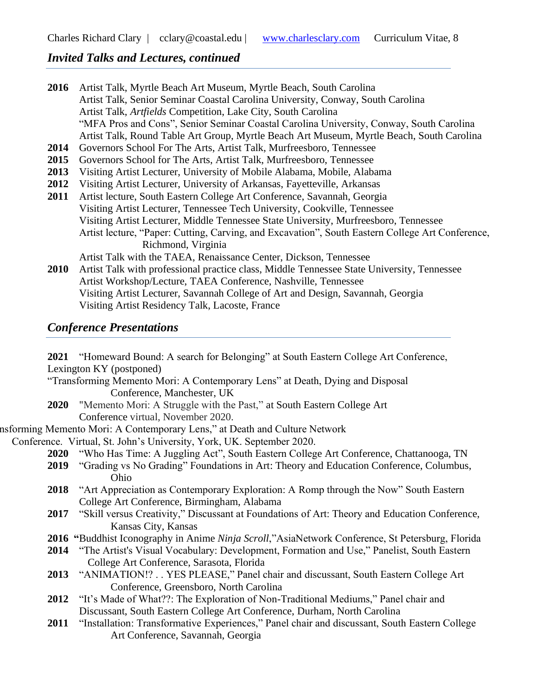### *Invited Talks and Lectures, continued*

| 2016 | Artist Talk, Myrtle Beach Art Museum, Myrtle Beach, South Carolina                        |
|------|-------------------------------------------------------------------------------------------|
|      | Artist Talk, Senior Seminar Coastal Carolina University, Conway, South Carolina           |
|      | Artist Talk, Artfields Competition, Lake City, South Carolina                             |
|      | "MFA Pros and Cons", Senior Seminar Coastal Carolina University, Conway, South Carolina   |
|      | Artist Talk, Round Table Art Group, Myrtle Beach Art Museum, Myrtle Beach, South Carolina |
|      | <b>2014</b> Correspond Calcal For The Associate Tally Mushman pour Terms                  |

- **2014** Governors School For The Arts, Artist Talk, Murfreesboro, Tennessee
- **2015** Governors School for The Arts, Artist Talk, Murfreesboro, Tennessee
- **2013** Visiting Artist Lecturer, University of Mobile Alabama, Mobile, Alabama
- **2012** Visiting Artist Lecturer, University of Arkansas, Fayetteville, Arkansas
- **2011** Artist lecture, South Eastern College Art Conference, Savannah, Georgia Visiting Artist Lecturer, Tennessee Tech University, Cookville, Tennessee Visiting Artist Lecturer, Middle Tennessee State University, Murfreesboro, Tennessee Artist lecture, "Paper: Cutting, Carving, and Excavation", South Eastern College Art Conference, Richmond, Virginia

Artist Talk with the TAEA, Renaissance Center, Dickson, Tennessee

**2010** Artist Talk with professional practice class, Middle Tennessee State University, Tennessee Artist Workshop/Lecture, TAEA Conference, Nashville, Tennessee Visiting Artist Lecturer, Savannah College of Art and Design, Savannah, Georgia Visiting Artist Residency Talk, Lacoste, France

#### *Conference Presentations*

**2021** "Homeward Bound: A search for Belonging" at South Eastern College Art Conference, Lexington KY (postponed)

"Transforming Memento Mori: A Contemporary Lens" at Death, Dying and Disposal Conference, Manchester, UK

- **2020** "Memento Mori: A Struggle with the Past," at South Eastern College Art Conference virtual, November 2020.
- nsforming Memento Mori: A Contemporary Lens," at Death and Culture Network
	- Conference. Virtual, St. John's University, York, UK. September 2020.
		- **2020** "Who Has Time: A Juggling Act", South Eastern College Art Conference, Chattanooga, TN
		- **2019** "Grading vs No Grading" Foundations in Art: Theory and Education Conference, Columbus, Ohio
		- **2018** "Art Appreciation as Contemporary Exploration: A Romp through the Now" South Eastern College Art Conference, Birmingham, Alabama
		- **2017** "Skill versus Creativity," Discussant at Foundations of Art: Theory and Education Conference, Kansas City, Kansas
		- **2016 "**Buddhist Iconography in Anime *Ninja Scroll*,"AsiaNetwork Conference, St Petersburg, Florida
		- **2014** "The Artist's Visual Vocabulary: Development, Formation and Use," Panelist, South Eastern College Art Conference, Sarasota, Florida
		- **2013** "ANIMATION!? . . YES PLEASE," Panel chair and discussant, South Eastern College Art Conference, Greensboro, North Carolina
		- **2012** "It's Made of What??: The Exploration of Non-Traditional Mediums," Panel chair and Discussant, South Eastern College Art Conference, Durham, North Carolina
		- **2011** "Installation: Transformative Experiences," Panel chair and discussant, South Eastern College Art Conference, Savannah, Georgia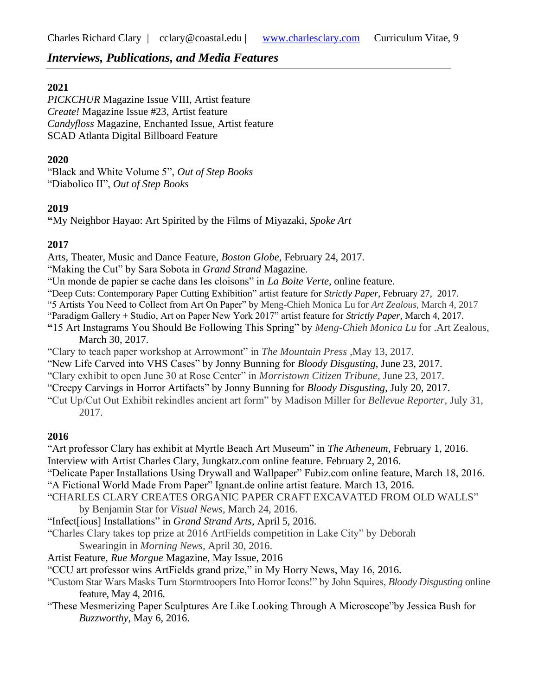## *Interviews, Publications, and Media Features*

#### **2021**

*PICKCHUR* Magazine Issue VIII, Artist feature *Create!* Magazine Issue #23, Artist feature *Candyfloss* Magazine, Enchanted Issue, Artist feature SCAD Atlanta Digital Billboard Feature

#### **2020**

"Black and White Volume 5", *Out of Step Books* "Diabolico II", *Out of Step Books*

#### **2019**

**"**My Neighbor Hayao: Art Spirited by the Films of Miyazaki, *Spoke Art*

#### **2017**

Arts, Theater, Music and Dance Feature, *Boston Globe,* February 24, 2017.

"Making the Cut" by Sara Sobota in *Grand Strand* Magazine.

"Un monde de papier se cache dans les cloisons" in *La Boite Verte*, online feature.

"Deep Cuts: Contemporary Paper Cutting Exhibition" artist feature for *Strictly Paper*, February 27, 2017.

"5 Artists You Need to Collect from Art On Paper" by Meng-Chieh Monica Lu for *Art Zealous*, March 4, 2017

"Paradigm Gallery + Studio, Art on Paper New York 2017" artist feature for *Strictly Paper*, March 4, 2017.

**"**15 Art Instagrams You Should Be Following This Spring" by *Meng-Chieh Monica Lu* for .Art Zealous, March 30, 2017.

"Clary to teach paper workshop at Arrowmont" in *The Mountain Press ,*May 13, 2017.

"New Life Carved into VHS Cases" by Jonny Bunning for *Bloody Disgusting*, June 23, 2017.

"Clary exhibit to open June 30 at Rose Center" in *Morristown Citizen Tribune,* June 23, 2017.

"Creepy Carvings in Horror Artifacts" by Jonny Bunning for *Bloody Disgusting*, July 20, 2017.

"Cut Up/Cut Out Exhibit rekindles ancient art form" by Madison Miller for *Bellevue Reporter,* July 31, 2017.

#### **2016**

"Art professor Clary has exhibit at Myrtle Beach Art Museum" in *The Atheneum*, February 1, 2016.

Interview with Artist Charles Clary, Jungkatz.com online feature. February 2, 2016.

"Delicate Paper Installations Using Drywall and Wallpaper" Fubiz.com online feature, March 18, 2016.

- "A Fictional World Made From Paper" Ignant.de online artist feature. March 13, 2016.
- "CHARLES CLARY CREATES ORGANIC PAPER CRAFT EXCAVATED FROM OLD WALLS" by Benjamin Star for *Visual News,* March 24, 2016.

"Infect[ious] Installations" in *Grand Strand Arts,* April 5, 2016.

"Charles Clary takes top prize at 2016 ArtFields competition in Lake City" by Deborah Swearingin in *Morning News,* April 30, 2016.

Artist Feature, *Rue Morgue* Magazine, May Issue, 2016

"CCU art professor wins ArtFields grand prize," in My Horry News, May 16, 2016.

"Custom Star Wars Masks Turn Stormtroopers Into Horror Icons!" by John Squires, *Bloody Disgusting* online feature, May 4, 2016.

"These Mesmerizing Paper Sculptures Are Like Looking Through A Microscope"by Jessica Bush for *Buzzworthy*, May 6, 2016.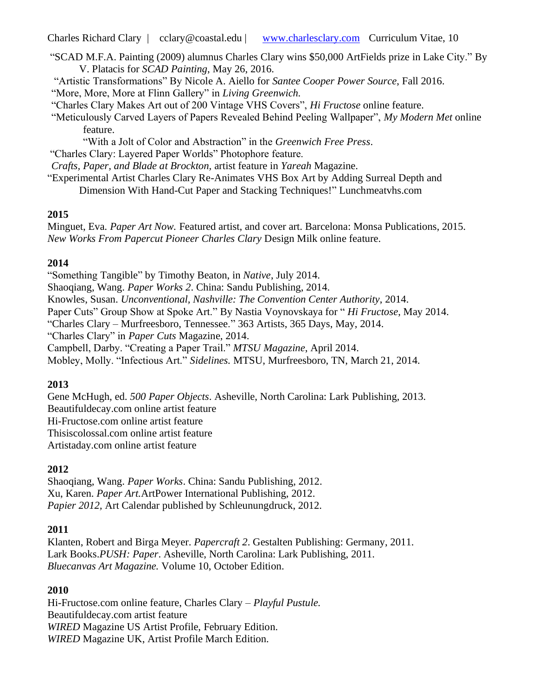Charles Richard Clary | cclary@coastal.edu | [www.charlesclary.com](http://www.claryclary.com/) Curriculum Vitae, 10

- "SCAD M.F.A. Painting (2009) alumnus Charles Clary wins \$50,000 ArtFields prize in Lake City." By V. Platacis for *SCAD Painting*, May 26, 2016.
- "Artistic Transformations" By Nicole A. Aiello for *Santee Cooper Power Source*, Fall 2016.
- "More, More, More at Flinn Gallery" in *Living Greenwich.*
- "Charles Clary Makes Art out of 200 Vintage VHS Covers", *Hi Fructose* online feature.
- "Meticulously Carved Layers of Papers Revealed Behind Peeling Wallpaper", *My Modern Met* online feature.
- "With a Jolt of Color and Abstraction" in the *Greenwich Free Press*. "Charles Clary: Layered Paper Worlds" Photophore feature.
- *Crafts, Paper, and Blade at Brockton,* artist feature in *Yareah* Magazine.
- "Experimental Artist Charles Clary Re-Animates VHS Box Art by Adding Surreal Depth and Dimension With Hand-Cut Paper and Stacking Techniques!" Lunchmeatvhs.com

#### **2015**

Minguet, Eva. *Paper Art Now.* Featured artist, and cover art. Barcelona: Monsa Publications, 2015. *New Works From Papercut Pioneer Charles Clary* Design Milk online feature.

#### **2014**

"Something Tangible" by Timothy Beaton, in *Native*, July 2014. Shaoqiang, Wang. *Paper Works 2*. China: Sandu Publishing, 2014. Knowles, Susan. *Unconventional, Nashville: The Convention Center Authority*, 2014. Paper Cuts" Group Show at Spoke Art." By Nastia Voynovskaya for " *Hi Fructose*, May 2014. "Charles Clary – [Murfreesboro,](http://365artists365days.com/2014/05/02/charles-clary-murfreesboro-tennessee/) Tennessee." 363 Artists, 365 Days, May, 2014. "Charles Clary" in *Paper Cuts* Magazine, 2014. Campbell, Darby. "Creating a Paper Trail." *MTSU Magazine*, April 2014. Mobley, Molly. "Infectious Art." *Sidelines.* MTSU, Murfreesboro, TN, March 21, 2014.

#### **2013**

Gene McHugh, ed. *500 Paper Objects*. Asheville, North Carolina: Lark Publishing, 2013. Beautifuldecay.com online artist feature Hi-Fructose.com online artist feature Thisiscolossal.com online artist feature Artistaday.com online artist feature

#### **2012**

Shaoqiang, Wang. *Paper Works*. China: Sandu Publishing, 2012. Xu, Karen. *Paper Art.*ArtPower International Publishing, 2012. *Papier 2012,* Art Calendar published by Schleunungdruck, 2012.

### **2011**

Klanten, Robert and Birga Meyer. *Papercraft 2*. Gestalten Publishing: Germany, 2011. Lark Books.*PUSH: Paper*. Asheville, North Carolina: Lark Publishing, 2011. *Bluecanvas Art Magazine.* Volume 10, October Edition.

#### **2010**

Hi-Fructose.com online feature, Charles Clary – *Playful Pustule.* Beautifuldecay.com artist feature *WIRED* Magazine US Artist Profile, February Edition. *WIRED* Magazine UK, Artist Profile March Edition.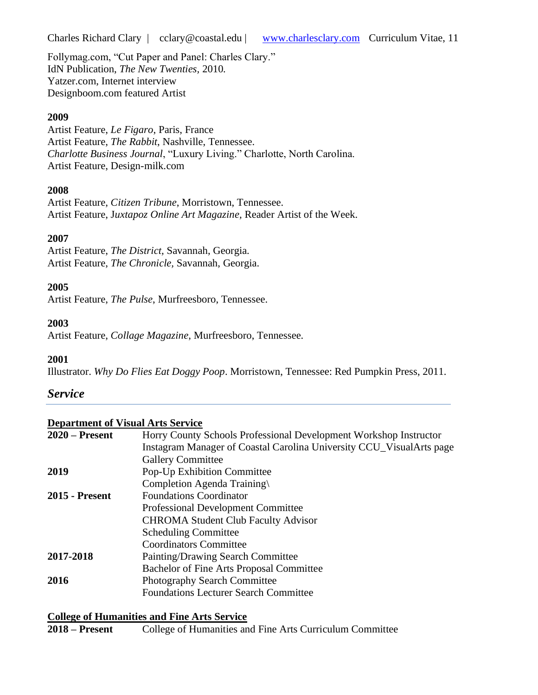Charles Richard Clary | cclary@coastal.edu | [www.charlesclary.com](http://www.claryclary.com/) Curriculum Vitae, 11

Follymag.com, "Cut Paper and Panel: Charles Clary." IdN Publication, *The New Twenties,* 2010*.* Yatzer.com, Internet interview Designboom.com featured Artist

#### **2009**

Artist Feature, *Le Figaro*, Paris, France Artist Feature, *The Rabbit*, Nashville, Tennessee. *Charlotte Business Journal*, "Luxury Living." Charlotte, North Carolina. Artist Feature, Design-milk.com

#### **2008**

Artist Feature, *Citizen Tribune*, Morristown, Tennessee. Artist Feature, J*uxtapoz Online Art Magazine,* Reader Artist of the Week.

#### **2007**

Artist Feature, *The District,* Savannah, Georgia. Artist Feature, *The Chronicle,* Savannah, Georgia.

#### **2005**

Artist Feature, *The Pulse*, Murfreesboro, Tennessee.

#### **2003**

Artist Feature, *Collage Magazine*, Murfreesboro, Tennessee.

#### **2001**

Illustrator. *Why Do Flies Eat Doggy Poop*. Morristown, Tennessee: Red Pumpkin Press, 2011.

#### *Service*

#### **Department of Visual Arts Service**

| $2020$ – Present      | Horry County Schools Professional Development Workshop Instructor    |
|-----------------------|----------------------------------------------------------------------|
|                       | Instagram Manager of Coastal Carolina University CCU_VisualArts page |
|                       | <b>Gallery Committee</b>                                             |
| 2019                  | Pop-Up Exhibition Committee                                          |
|                       | Completion Agenda Training                                           |
| <b>2015 - Present</b> | <b>Foundations Coordinator</b>                                       |
|                       | <b>Professional Development Committee</b>                            |
|                       | <b>CHROMA Student Club Faculty Advisor</b>                           |
|                       | <b>Scheduling Committee</b>                                          |
|                       | <b>Coordinators Committee</b>                                        |
| 2017-2018             | Painting/Drawing Search Committee                                    |
|                       | Bachelor of Fine Arts Proposal Committee                             |
| 2016                  | <b>Photography Search Committee</b>                                  |
|                       | <b>Foundations Lecturer Search Committee</b>                         |

#### **College of Humanities and Fine Arts Service**

**2018 – Present** College of Humanities and Fine Arts Curriculum Committee